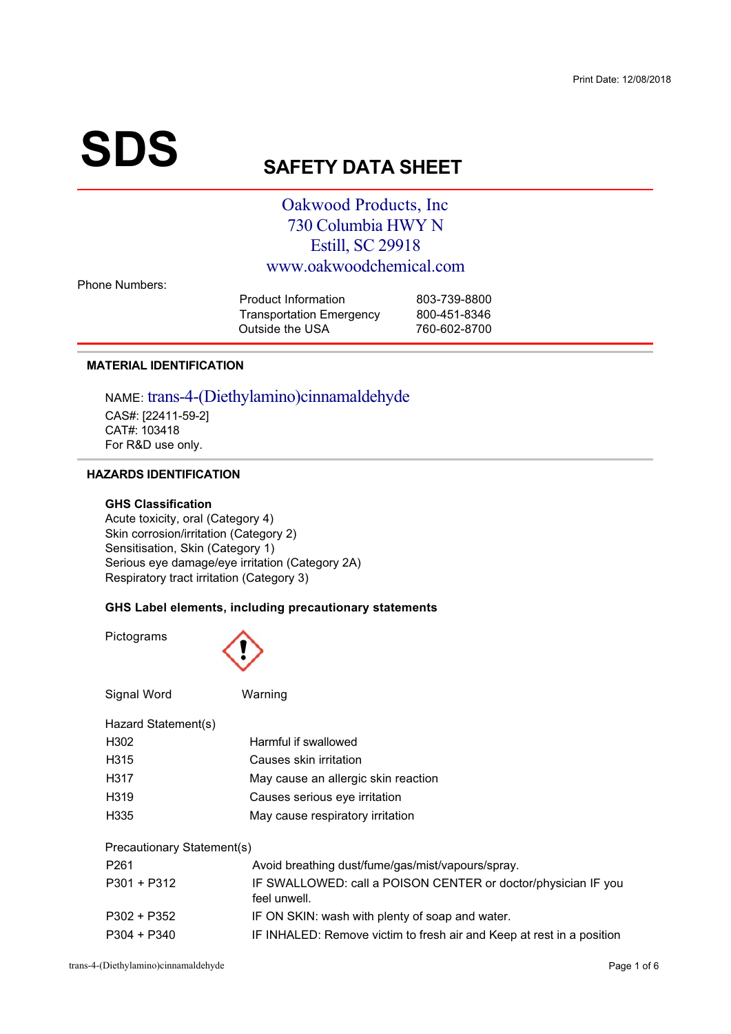# **SDS**

# **SAFETY DATA SHEET**

## **Oakwood Products, Inc** 730 Columbia HWY N **Estill, SC 29918** www.oakwoodchemical.com

**Phone Numbers:** 

| Product Information             | 803-739-8800 |
|---------------------------------|--------------|
| <b>Transportation Emergency</b> | 800-451-8346 |
| Outside the USA                 | 760-602-8700 |

#### **MATERIAL IDENTIFICATION**

NAME: trans-4-(Diethylamino)cinnamaldehyde CAS#: [22411-59-2] CAT#: 103418 For R&D use only.

#### **HAZARDS IDENTIFICATION**

#### **GHS Classification**

Acute toxicity, oral (Category 4) Skin corrosion/irritation (Category 2) Sensitisation, Skin (Category 1) Serious eye damage/eye irritation (Category 2A) Respiratory tract irritation (Category 3)

#### GHS Label elements, including precautionary statements

Pictograms

Signal Word

#### Warning

| Hazard Statement(s) |                                     |
|---------------------|-------------------------------------|
| H302                | Harmful if swallowed                |
| H <sub>315</sub>    | Causes skin irritation              |
| H317                | May cause an allergic skin reaction |
| H <sub>319</sub>    | Causes serious eye irritation       |
| H <sub>335</sub>    | May cause respiratory irritation    |

**Precautionary Statement(s)** 

| P <sub>261</sub> | Avoid breathing dust/fume/gas/mist/vapours/spray.                             |
|------------------|-------------------------------------------------------------------------------|
| P301 + P312      | IF SWALLOWED: call a POISON CENTER or doctor/physician IF you<br>feel unwell. |
| P302 + P352      | IF ON SKIN: wash with plenty of soap and water.                               |
| $P304 + P340$    | IF INHALED: Remove victim to fresh air and Keep at rest in a position         |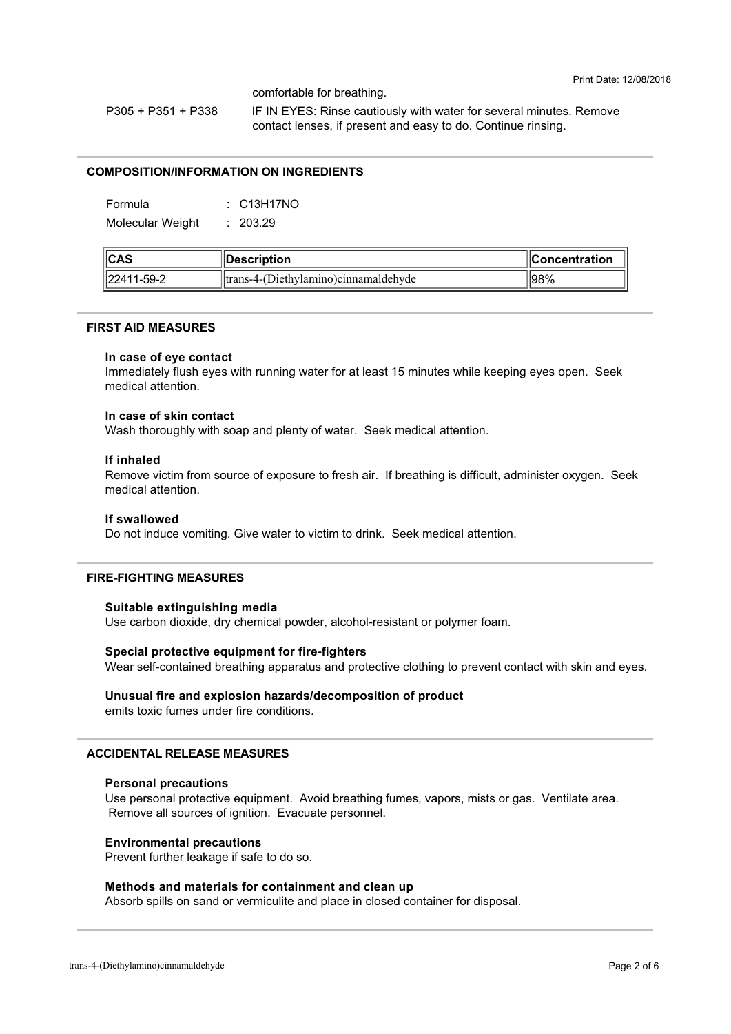comfortable for breathing.

 $P305 + P351 + P338$ IF IN EYES: Rinse cautiously with water for several minutes. Remove contact lenses, if present and easy to do. Continue rinsing.

#### **COMPOSITION/INFORMATION ON INGREDIENTS**

Formula  $\therefore$  C13H17NO Molecular Weight  $: 203.29$ 

| $\ $ CAS   | Description                            | <b>I</b> Concentration |
|------------|----------------------------------------|------------------------|
| 22411-59-2 | ltrans-4-(Diethylamino) cinnamaldehyde | ' 98%                  |

#### **FIRST AID MEASURES**

#### In case of eve contact

Immediately flush eves with running water for at least 15 minutes while keeping eves open. Seek medical attention

#### In case of skin contact

Wash thoroughly with soap and plenty of water. Seek medical attention.

#### If inhaled

Remove victim from source of exposure to fresh air. If breathing is difficult, administer oxygen. Seek medical attention.

#### If swallowed

Do not induce vomiting. Give water to victim to drink. Seek medical attention.

#### **FIRE-FIGHTING MEASURES**

#### Suitable extinguishing media

Use carbon dioxide, dry chemical powder, alcohol-resistant or polymer foam.

#### Special protective equipment for fire-fighters

Wear self-contained breathing apparatus and protective clothing to prevent contact with skin and eves.

#### Unusual fire and explosion hazards/decomposition of product

emits toxic fumes under fire conditions.

#### **ACCIDENTAL RELEASE MEASURES**

#### **Personal precautions**

Use personal protective equipment. Avoid breathing fumes, vapors, mists or gas. Ventilate area. Remove all sources of ignition. Evacuate personnel.

#### **Environmental precautions**

Prevent further leakage if safe to do so.

#### Methods and materials for containment and clean up

Absorb spills on sand or vermiculite and place in closed container for disposal.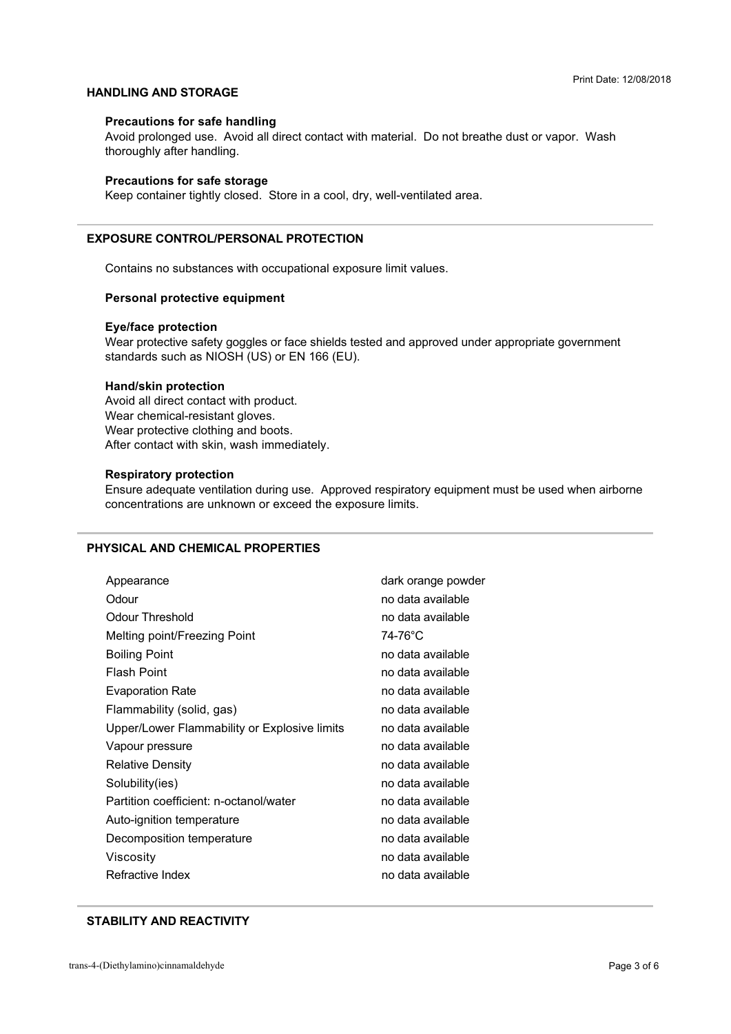#### **HANDLING AND STORAGE**

#### **Precautions for safe handling**

ment presenged deep in the all all experiments in the m Avoid prolonged use. Avoid all direct contact with material. Do not breathe dust or vapor. Wash  $\ldots$   $\ldots$   $\ldots$   $\ldots$   $\ldots$   $\ldots$ 

#### **Precautions for safe storage**

Keep container tightly closed. Store in a cool, dry, well-ventilated area.

#### **EXPOSURE CONTROL/PERSONAL PROTECTION**

+

> 35
 3

#### **Personal protective equipment**

#### **Eye/face protection**

standards such as NIOSH (US) or EN 166 (EU). Wear protective safety goggles or face shields tested and approved under appropriate government

#### **Hand/skin protection**

Avoid all direct contact with product.<br>Wear chemical-resistant gloves. Wear protective clothing and boy After contact with skin wash immer  $\sim$  460  $\mu$   $\sim$  460  $\mu$   $\sim$  460  $\mu$ 

#### **Respiratory protection**

 $\frac{1}{2}$  concentrations are unknown or exceed the exposure limits 
 9>55
 3 4

#### **PHYSICAL AND CHEMICAL PROPERTIES**

| Appearance                                   | dark orange powder |
|----------------------------------------------|--------------------|
| Odour                                        | no data available  |
| Odour Threshold                              | no data available  |
| Melting point/Freezing Point                 | 74-76°C            |
| <b>Boiling Point</b>                         | no data available  |
| <b>Flash Point</b>                           | no data available  |
| <b>Evaporation Rate</b>                      | no data available  |
| Flammability (solid, gas)                    | no data available  |
| Upper/Lower Flammability or Explosive limits | no data available  |
| Vapour pressure                              | no data available  |
| <b>Relative Density</b>                      | no data available  |
| Solubility(ies)                              | no data available  |
| Partition coefficient: n-octanol/water       | no data available  |
| Auto-ignition temperature                    | no data available  |
| Decomposition temperature                    | no data available  |
| Viscosity                                    | no data available  |
| Refractive Index                             | no data available  |

#### **STABILITY AND REACTIVITY**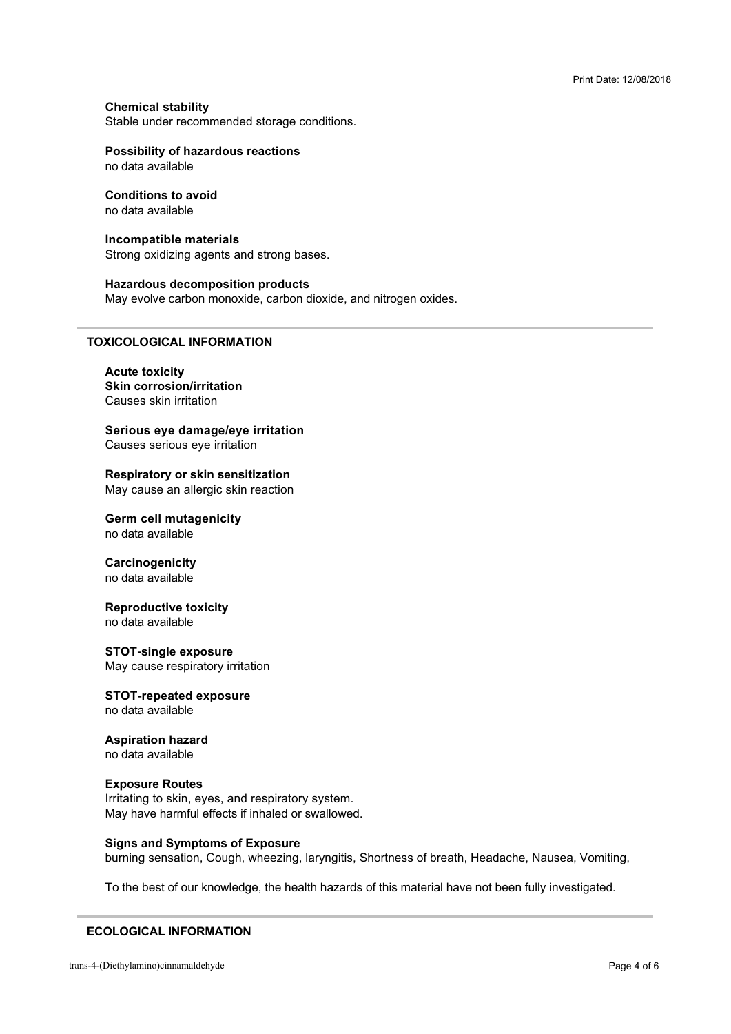**Chemical stability** Stable under recommended storage conditions.

### **Possibility of hazardous reactions**

no data available

#### **Conditions to avoid** no data available

#### Incompatible materials

Strong oxidizing agents and strong bases.

#### **Hazardous decomposition products**

May evolve carbon monoxide, carbon dioxide, and nitrogen oxides.

#### **TOXICOLOGICAL INFORMATION**

#### **Acute toxicity Skin corrosion/irritation** Causes skin irritation

Serious eye damage/eye irritation Causes serious eye irritation

Respiratory or skin sensitization May cause an allergic skin reaction

**Germ cell mutagenicity** no data available

Carcinogenicity no data available

**Reproductive toxicity** no data available

**STOT-single exposure** May cause respiratory irritation

**STOT-repeated exposure** no data available

**Aspiration hazard** no data available

# **Exposure Routes**

Irritating to skin, eyes, and respiratory system. May have harmful effects if inhaled or swallowed.

**Signs and Symptoms of Exposure** 

burning sensation, Cough, wheezing, laryngitis, Shortness of breath, Headache, Nausea, Vomiting,

To the best of our knowledge, the health hazards of this material have not been fully investigated.

#### **ECOLOGICAL INFORMATION**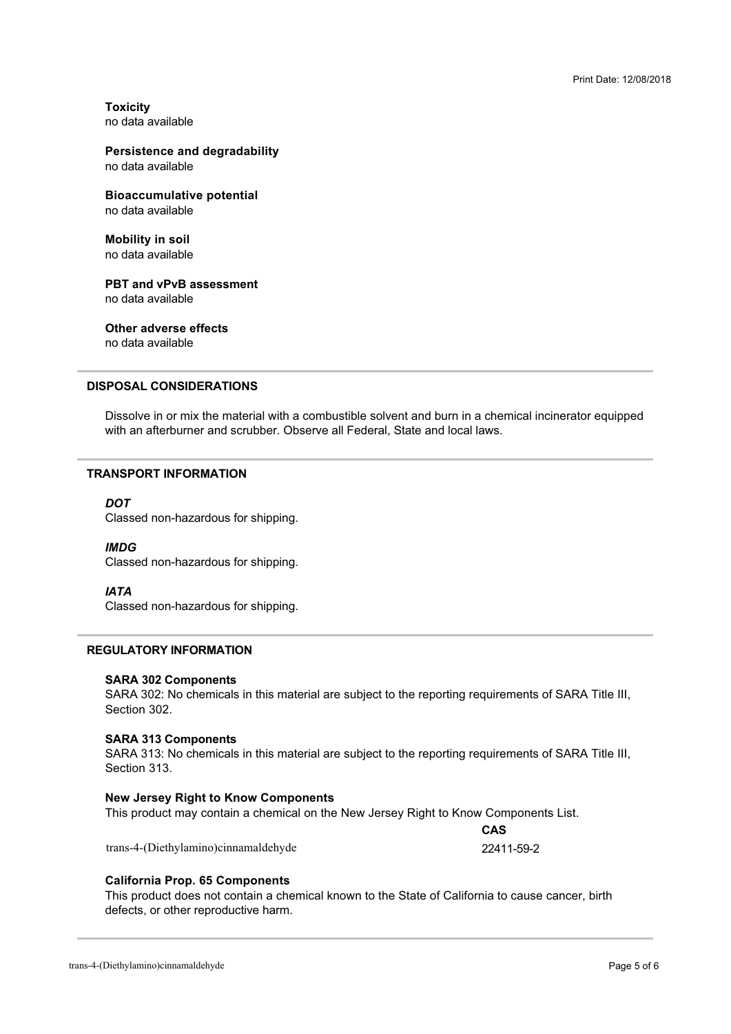**Toxicity** 

#### **Persistence and degradability**

**Bioaccumulative potential** 

**Mobility in soil** 

**PBT and vPvB assessment** no data available

**Other adverse effects** no data available

#### **DISPOSAL CONSIDERATIONS**

with an afterburner and scrubber. Observe all Federal, State and local laws. Dissolve in or mix the material with a combustible solvent and burn in a chemical incinerator equipped

#### **TRANSPORT INFORMATION**

#### **DOT**

 $\frac{1}{2}$ 

#### **IMDG**

Classed non-hazardous for shipping.

#### **IATA**

Classed non-hazardous for shipping.

#### **REGULATORY INFORMATION**

#### **SARA 302 Components**

SARA 302: No chemicals in this material are subject to the reporting requirements of SARA Title III,<br>Section 302 Section 302.

#### **SARA 313 Components**

SARA 313: No chemicals in this material are subject to the reporting requirements of SARA Title III,<br>Section 313 Section 313.

#### **New Jersey Right to Know Components**

 3>K
 0B>+ A
4

trans-4-(Diethylamino)cinnamaldehyde

CAS 22411-59-2

#### **California Prop. 65 Components**

defects, or other reproductive harm. This product does not contain a chemical known to the State of California to cause cancer, birth  $\mathbb{R}$  for  $\mathbb{R}$  and  $\mathbb{R}$  is the set of  $\mathbb{R}$